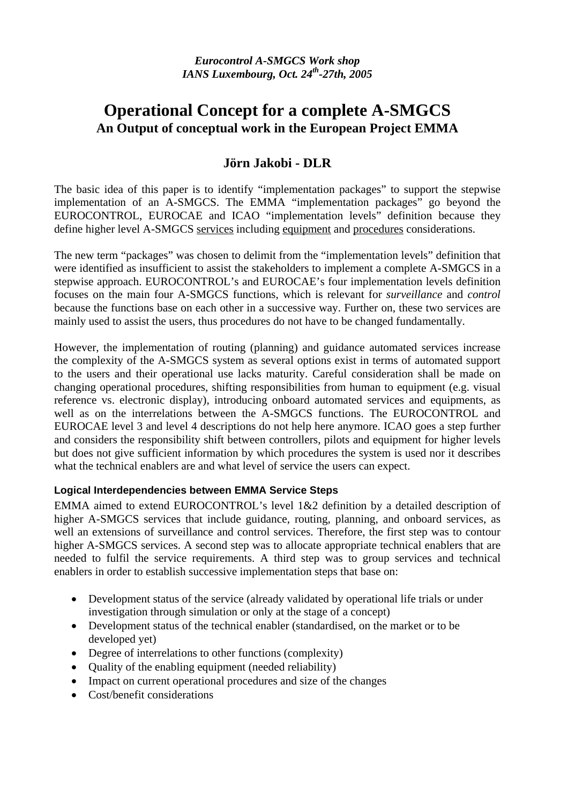# **Operational Concept for a complete A-SMGCS An Output of conceptual work in the European Project EMMA**

## **Jörn Jakobi - DLR**

The basic idea of this paper is to identify "implementation packages" to support the stepwise implementation of an A-SMGCS. The EMMA "implementation packages" go beyond the EUROCONTROL, EUROCAE and ICAO "implementation levels" definition because they define higher level A-SMGCS services including equipment and procedures considerations.

The new term "packages" was chosen to delimit from the "implementation levels" definition that were identified as insufficient to assist the stakeholders to implement a complete A-SMGCS in a stepwise approach. EUROCONTROL's and EUROCAE's four implementation levels definition focuses on the main four A-SMGCS functions, which is relevant for *surveillance* and *control*  because the functions base on each other in a successive way. Further on, these two services are mainly used to assist the users, thus procedures do not have to be changed fundamentally.

However, the implementation of routing (planning) and guidance automated services increase the complexity of the A-SMGCS system as several options exist in terms of automated support to the users and their operational use lacks maturity. Careful consideration shall be made on changing operational procedures, shifting responsibilities from human to equipment (e.g. visual reference vs. electronic display), introducing onboard automated services and equipments, as well as on the interrelations between the A-SMGCS functions. The EUROCONTROL and EUROCAE level 3 and level 4 descriptions do not help here anymore. ICAO goes a step further and considers the responsibility shift between controllers, pilots and equipment for higher levels but does not give sufficient information by which procedures the system is used nor it describes what the technical enablers are and what level of service the users can expect.

### **Logical Interdependencies between EMMA Service Steps**

EMMA aimed to extend EUROCONTROL's level 1&2 definition by a detailed description of higher A-SMGCS services that include guidance, routing, planning, and onboard services, as well an extensions of surveillance and control services. Therefore, the first step was to contour higher A-SMGCS services. A second step was to allocate appropriate technical enablers that are needed to fulfil the service requirements. A third step was to group services and technical enablers in order to establish successive implementation steps that base on:

- Development status of the service (already validated by operational life trials or under investigation through simulation or only at the stage of a concept)
- Development status of the technical enabler (standardised, on the market or to be developed yet)
- Degree of interrelations to other functions (complexity)
- Quality of the enabling equipment (needed reliability)
- Impact on current operational procedures and size of the changes
- Cost/benefit considerations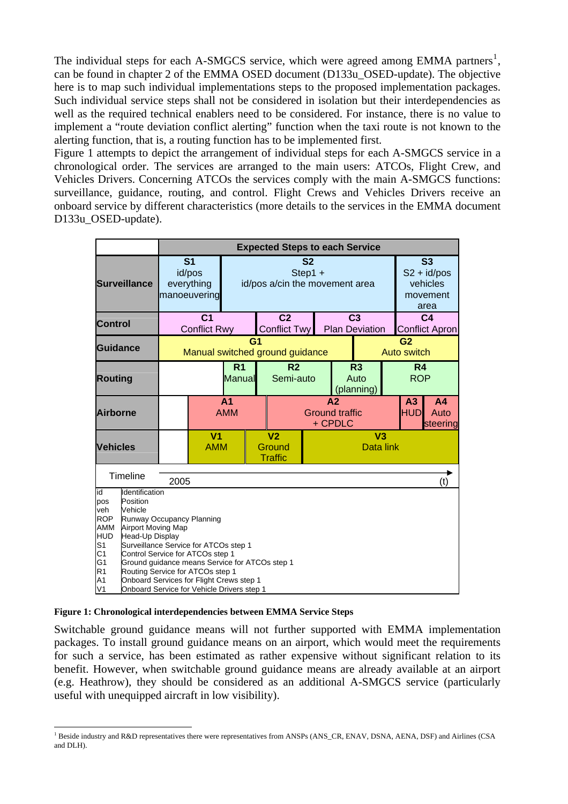The individual steps for each A-SMGCS service, which were agreed among EMMA partners<sup>[1](#page-1-0)</sup>, can be found in chapter 2 of the EMMA OSED document (D133u\_OSED-update). The objective here is to map such individual implementations steps to the proposed implementation packages. Such individual service steps shall not be considered in isolation but their interdependencies as well as the required technical enablers need to be considered. For instance, there is no value to implement a "route deviation conflict alerting" function when the taxi route is not known to the alerting function, that is, a routing function has to be implemented first.

[Figure 1](#page-1-1) attempts to depict the arrangement of individual steps for each A-SMGCS service in a chronological order. The services are arranged to the main users: ATCOs, Flight Crew, and Vehicles Drivers. Concerning ATCOs the services comply with the main A-SMGCS functions: surveillance, guidance, routing, and control. Flight Crews and Vehicles Drivers receive an onboard service by different characteristics (more details to the services in the EMMA document D133u\_OSED-update).

|                                                                                                                                                                                                                                                                                                                                                                                                                                                                                                                                   |  | <b>Expected Steps to each Service</b> |                                                        |                                                                |                                       |                                                    |                                                                   |                          |  |                                         |                                    |
|-----------------------------------------------------------------------------------------------------------------------------------------------------------------------------------------------------------------------------------------------------------------------------------------------------------------------------------------------------------------------------------------------------------------------------------------------------------------------------------------------------------------------------------|--|---------------------------------------|--------------------------------------------------------|----------------------------------------------------------------|---------------------------------------|----------------------------------------------------|-------------------------------------------------------------------|--------------------------|--|-----------------------------------------|------------------------------------|
| <b>Surveillance</b>                                                                                                                                                                                                                                                                                                                                                                                                                                                                                                               |  |                                       | S <sub>1</sub><br>id/pos<br>everything<br>manoeuvering | S <sub>2</sub><br>$Step 1 +$<br>id/pos a/cin the movement area |                                       |                                                    | S <sub>3</sub><br>$S2 + id / pos$<br>vehicles<br>movement<br>area |                          |  |                                         |                                    |
| <b>Control</b>                                                                                                                                                                                                                                                                                                                                                                                                                                                                                                                    |  | C <sub>1</sub><br><b>Conflict Rwy</b> |                                                        |                                                                | C <sub>2</sub><br><b>Conflict Twy</b> | C <sub>3</sub><br><b>Plan Deviation</b>            |                                                                   |                          |  | C <sub>4</sub><br><b>Conflict Apron</b> |                                    |
| <b>Guidance</b>                                                                                                                                                                                                                                                                                                                                                                                                                                                                                                                   |  | G1<br>Manual switched ground guidance |                                                        |                                                                |                                       |                                                    | G <sub>2</sub><br><b>Auto switch</b>                              |                          |  |                                         |                                    |
| <b>Routing</b>                                                                                                                                                                                                                                                                                                                                                                                                                                                                                                                    |  | R <sub>1</sub><br>Manual              |                                                        |                                                                | R <sub>2</sub><br>Semi-auto           |                                                    |                                                                   | R3<br>Auto<br>(planning) |  | R <sub>4</sub><br><b>ROP</b>            |                                    |
| Airborne                                                                                                                                                                                                                                                                                                                                                                                                                                                                                                                          |  |                                       |                                                        | A <sub>1</sub><br><b>AMM</b>                                   |                                       | A <sub>2</sub><br><b>Ground traffic</b><br>+ CPDLC |                                                                   |                          |  | A <sub>3</sub><br><b>HUD</b>            | A <sub>4</sub><br>Auto<br>steering |
| <b>Vehicles</b>                                                                                                                                                                                                                                                                                                                                                                                                                                                                                                                   |  |                                       | V <sub>1</sub><br><b>AMM</b>                           | V <sub>2</sub><br>Ground<br><b>Traffic</b>                     |                                       |                                                    | V <sub>3</sub><br>Data link                                       |                          |  |                                         |                                    |
| <b>Timeline</b><br>2005                                                                                                                                                                                                                                                                                                                                                                                                                                                                                                           |  |                                       |                                                        |                                                                |                                       | (t)                                                |                                                                   |                          |  |                                         |                                    |
| Identification<br>id<br>Position<br>pos<br>veh<br>Vehicle<br><b>ROP</b><br>Runway Occupancy Planning<br><b>AMM</b><br><b>Airport Moving Map</b><br><b>HUD</b><br>Head-Up Display<br>S <sub>1</sub><br>Surveillance Service for ATCOs step 1<br>C1<br>Control Service for ATCOs step 1<br>G1<br>Ground quidance means Service for ATCOs step 1<br>R <sub>1</sub><br>Routing Service for ATCOs step 1<br>A <sub>1</sub><br>Onboard Services for Flight Crews step 1<br>V <sub>1</sub><br>Onboard Service for Vehicle Drivers step 1 |  |                                       |                                                        |                                                                |                                       |                                                    |                                                                   |                          |  |                                         |                                    |

#### <span id="page-1-1"></span>**Figure 1: Chronological interdependencies between EMMA Service Steps**

Switchable ground guidance means will not further supported with EMMA implementation packages. To install ground guidance means on an airport, which would meet the requirements for such a service, has been estimated as rather expensive without significant relation to its benefit. However, when switchable ground guidance means are already available at an airport (e.g. Heathrow), they should be considered as an additional A-SMGCS service (particularly useful with unequipped aircraft in low visibility).

<span id="page-1-0"></span> $\overline{a}$ <sup>1</sup> Beside industry and R&D representatives there were representatives from ANSPs (ANS\_CR, ENAV, DSNA, AENA, DSF) and Airlines (CSA and DLH).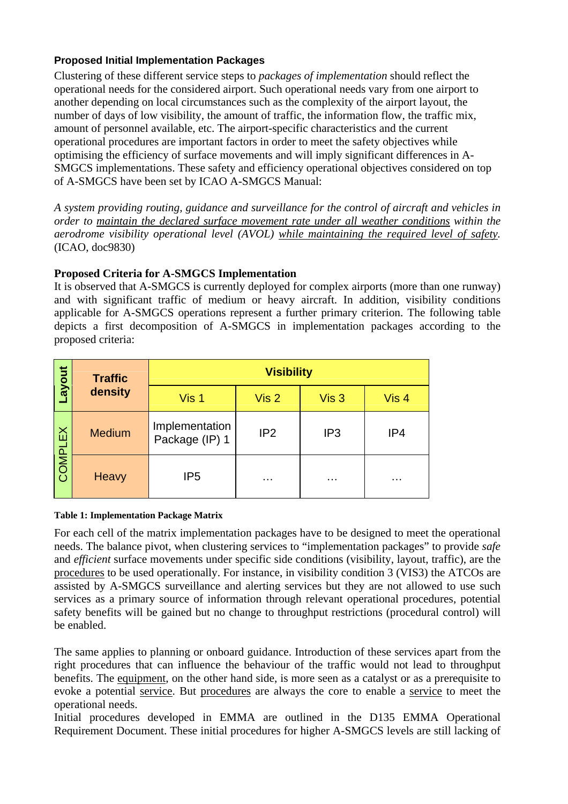## **Proposed Initial Implementation Packages**

Clustering of these different service steps to *packages of implementation* should reflect the operational needs for the considered airport. Such operational needs vary from one airport to another depending on local circumstances such as the complexity of the airport layout, the number of days of low visibility, the amount of traffic, the information flow, the traffic mix, amount of personnel available, etc. The airport-specific characteristics and the current operational procedures are important factors in order to meet the safety objectives while optimising the efficiency of surface movements and will imply significant differences in A-SMGCS implementations. These safety and efficiency operational objectives considered on top of A-SMGCS have been set by ICAO A-SMGCS Manual:

*A system providing routing, guidance and surveillance for the control of aircraft and vehicles in order to maintain the declared surface movement rate under all weather conditions within the aerodrome visibility operational level (AVOL) while maintaining the required level of safety.* (ICAO, doc9830)

## **Proposed Criteria for A-SMGCS Implementation**

It is observed that A-SMGCS is currently deployed for complex airports (more than one runway) and with significant traffic of medium or heavy aircraft. In addition, visibility conditions applicable for A-SMGCS operations represent a further primary criterion. The following table depicts a first decomposition of A-SMGCS in implementation packages according to the proposed criteria:

| Layout  | <b>Traffic</b>                                    | <b>Visibility</b> |                  |                  |                  |  |  |  |
|---------|---------------------------------------------------|-------------------|------------------|------------------|------------------|--|--|--|
|         | density                                           | Vis 1             | Vis <sub>2</sub> | Vis <sub>3</sub> | Vis <sub>4</sub> |  |  |  |
| COMPLEX | Implementation<br><b>Medium</b><br>Package (IP) 1 |                   | IP <sub>2</sub>  | IP <sub>3</sub>  | IP4              |  |  |  |
|         | IP <sub>5</sub><br>Heavy                          |                   | $\cdots$         | $\cdots$         | $\cdots$         |  |  |  |

#### <span id="page-2-0"></span>**Table 1: Implementation Package Matrix**

For each cell of the matrix implementation packages have to be designed to meet the operational needs. The balance pivot, when clustering services to "implementation packages" to provide *safe* and *efficient* surface movements under specific side conditions (visibility, layout, traffic), are the procedures to be used operationally. For instance, in visibility condition 3 (VIS3) the ATCOs are assisted by A-SMGCS surveillance and alerting services but they are not allowed to use such services as a primary source of information through relevant operational procedures, potential safety benefits will be gained but no change to throughput restrictions (procedural control) will be enabled.

The same applies to planning or onboard guidance. Introduction of these services apart from the right procedures that can influence the behaviour of the traffic would not lead to throughput benefits. The equipment, on the other hand side, is more seen as a catalyst or as a prerequisite to evoke a potential service. But procedures are always the core to enable a service to meet the operational needs.

Initial procedures developed in EMMA are outlined in the D135 EMMA Operational Requirement Document. These initial procedures for higher A-SMGCS levels are still lacking of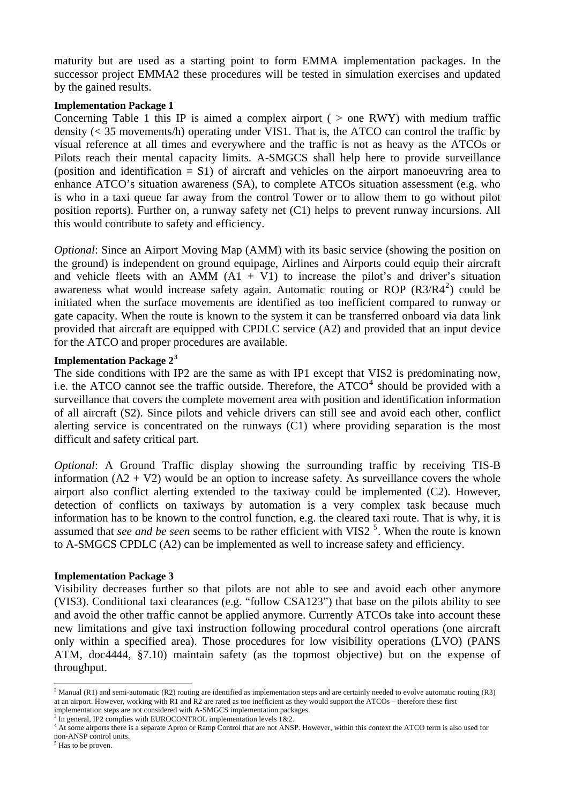maturity but are used as a starting point to form EMMA implementation packages. In the successor project EMMA2 these procedures will be tested in simulation exercises and updated by the gained results.

#### **Implementation Package 1**

Concerning [Table 1](#page-2-0) this IP is aimed a complex airport ( $>$  one RWY) with medium traffic density (< 35 movements/h) operating under VIS1. That is, the ATCO can control the traffic by visual reference at all times and everywhere and the traffic is not as heavy as the ATCOs or Pilots reach their mental capacity limits. A-SMGCS shall help here to provide surveillance (position and identification = S1) of aircraft and vehicles on the airport manoeuvring area to enhance ATCO's situation awareness (SA), to complete ATCOs situation assessment (e.g. who is who in a taxi queue far away from the control Tower or to allow them to go without pilot position reports). Further on, a runway safety net (C1) helps to prevent runway incursions. All this would contribute to safety and efficiency.

*Optional:* Since an Airport Moving Map (AMM) with its basic service (showing the position on the ground) is independent on ground equipage, Airlines and Airports could equip their aircraft and vehicle fleets with an AMM  $(A1 + V1)$  to increase the pilot's and driver's situation awareness what would increase safety again. Automatic routing or ROP  $(R3/R4^2)$  $(R3/R4^2)$  $(R3/R4^2)$  could be initiated when the surface movements are identified as too inefficient compared to runway or gate capacity. When the route is known to the system it can be transferred onboard via data link provided that aircraft are equipped with CPDLC service (A2) and provided that an input device for the ATCO and proper procedures are available.

#### **Implementation Package 2[3](#page-3-1)**

The side conditions with IP2 are the same as with IP1 except that VIS2 is predominating now, i.e. the ATCO cannot see the traffic outside. Therefore, the  $ATCO<sup>4</sup>$  $ATCO<sup>4</sup>$  $ATCO<sup>4</sup>$  should be provided with a surveillance that covers the complete movement area with position and identification information of all aircraft (S2). Since pilots and vehicle drivers can still see and avoid each other, conflict alerting service is concentrated on the runways (C1) where providing separation is the most difficult and safety critical part.

*Optional*: A Ground Traffic display showing the surrounding traffic by receiving TIS-B information  $(A2 + V2)$  would be an option to increase safety. As surveillance covers the whole airport also conflict alerting extended to the taxiway could be implemented (C2). However, detection of conflicts on taxiways by automation is a very complex task because much information has to be known to the control function, e.g. the cleared taxi route. That is why, it is assumed that *see and be seen* seems to be rather efficient with VIS2<sup>[5](#page-3-3)</sup>. When the route is known to A-SMGCS CPDLC (A2) can be implemented as well to increase safety and efficiency.

#### **Implementation Package 3**

Visibility decreases further so that pilots are not able to see and avoid each other anymore (VIS3). Conditional taxi clearances (e.g. "follow CSA123") that base on the pilots ability to see and avoid the other traffic cannot be applied anymore. Currently ATCOs take into account these new limitations and give taxi instruction following procedural control operations (one aircraft only within a specified area). Those procedures for low visibility operations (LVO) (PANS ATM, doc4444, §7.10) maintain safety (as the topmost objective) but on the expense of throughput.

<span id="page-3-0"></span> $\overline{a}$ <sup>2</sup> Manual (R1) and semi-automatic (R2) routing are identified as implementation steps and are certainly needed to evolve automatic routing (R3) at an airport. However, working with R1 and R2 are rated as too inefficient as they would support the ATCOs – therefore these first implementation steps are not considered with A-SMGCS implementation packages.

In general, IP2 complies with EUROCONTROL implementation levels  $1&2.2$ .

<span id="page-3-2"></span><span id="page-3-1"></span><sup>&</sup>lt;sup>4</sup> At some airports there is a separate Apron or Ramp Control that are not ANSP. However, within this context the ATCO term is also used for non-ANSP control units.

<span id="page-3-3"></span><sup>&</sup>lt;sup>5</sup> Has to be proven.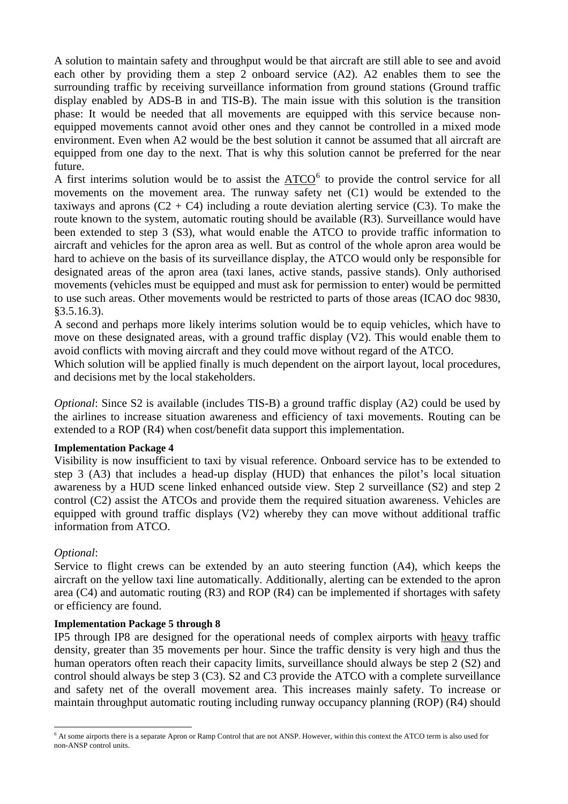A solution to maintain safety and throughput would be that aircraft are still able to see and avoid each other by providing them a step 2 onboard service (A2). A2 enables them to see the surrounding traffic by receiving surveillance information from ground stations (Ground traffic display enabled by ADS-B in and TIS-B). The main issue with this solution is the transition phase: It would be needed that all movements are equipped with this service because nonequipped movements cannot avoid other ones and they cannot be controlled in a mixed mode environment. Even when A2 would be the best solution it cannot be assumed that all aircraft are equipped from one day to the next. That is why this solution cannot be preferred for the near future.

A first interims solution would be to assist the  $\triangle TCO^6$  $\triangle TCO^6$  to provide the control service for all movements on the movement area. The runway safety net (C1) would be extended to the taxiways and aprons  $(C2 + C4)$  including a route deviation alerting service  $(C3)$ . To make the route known to the system, automatic routing should be available (R3). Surveillance would have been extended to step 3 (S3), what would enable the ATCO to provide traffic information to aircraft and vehicles for the apron area as well. But as control of the whole apron area would be hard to achieve on the basis of its surveillance display, the ATCO would only be responsible for designated areas of the apron area (taxi lanes, active stands, passive stands). Only authorised movements (vehicles must be equipped and must ask for permission to enter) would be permitted to use such areas. Other movements would be restricted to parts of those areas (ICAO doc 9830, §3.5.16.3).

A second and perhaps more likely interims solution would be to equip vehicles, which have to move on these designated areas, with a ground traffic display (V2). This would enable them to avoid conflicts with moving aircraft and they could move without regard of the ATCO.

Which solution will be applied finally is much dependent on the airport layout, local procedures, and decisions met by the local stakeholders.

*Optional:* Since S2 is available (includes TIS-B) a ground traffic display (A2) could be used by the airlines to increase situation awareness and efficiency of taxi movements. Routing can be extended to a ROP (R4) when cost/benefit data support this implementation.

#### **Implementation Package 4**

Visibility is now insufficient to taxi by visual reference. Onboard service has to be extended to step 3 (A3) that includes a head-up display (HUD) that enhances the pilot's local situation awareness by a HUD scene linked enhanced outside view. Step 2 surveillance (S2) and step 2 control (C2) assist the ATCOs and provide them the required situation awareness. Vehicles are equipped with ground traffic displays (V2) whereby they can move without additional traffic information from ATCO.

#### *Optional*:

Service to flight crews can be extended by an auto steering function (A4), which keeps the aircraft on the yellow taxi line automatically. Additionally, alerting can be extended to the apron area (C4) and automatic routing (R3) and ROP (R4) can be implemented if shortages with safety or efficiency are found.

#### **Implementation Package 5 through 8**

IP5 through IP8 are designed for the operational needs of complex airports with heavy traffic density, greater than 35 movements per hour. Since the traffic density is very high and thus the human operators often reach their capacity limits, surveillance should always be step 2 (S2) and control should always be step 3 (C3). S2 and C3 provide the ATCO with a complete surveillance and safety net of the overall movement area. This increases mainly safety. To increase or maintain throughput automatic routing including runway occupancy planning (ROP) (R4) should

<span id="page-4-0"></span> $\overline{a}$ <sup>6</sup> At some airports there is a separate Apron or Ramp Control that are not ANSP. However, within this context the ATCO term is also used for non-ANSP control units.